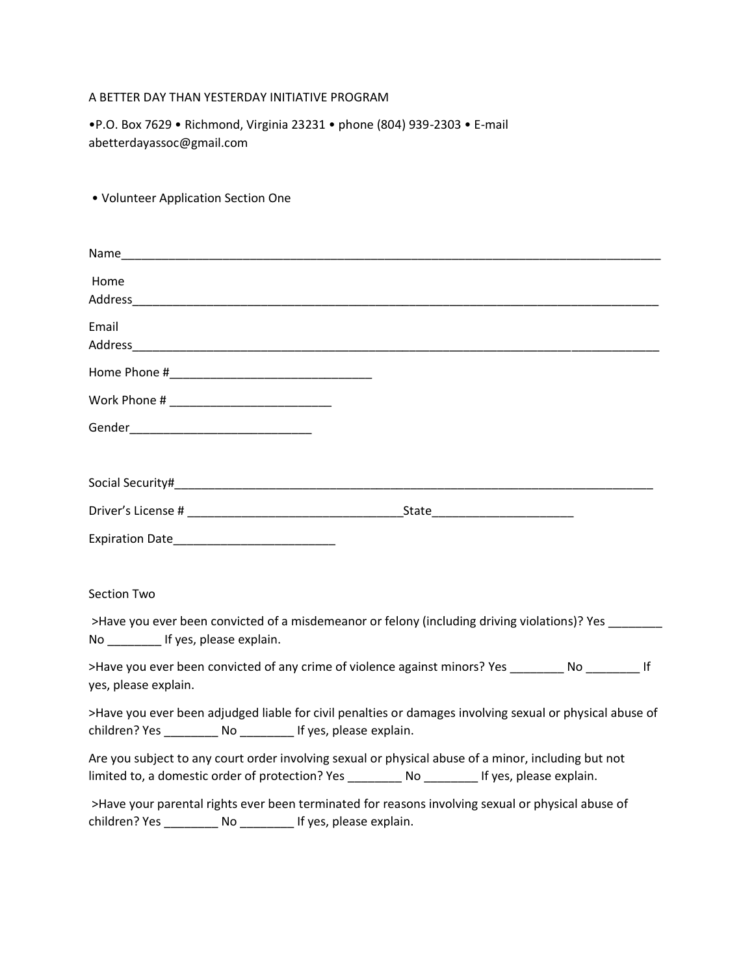## A BETTER DAY THAN YESTERDAY INITIATIVE PROGRAM

• Volunteer Application Section One

•P.O. Box 7629 • Richmond, Virginia 23231 • phone (804) 939-2303 • E-mail abetterdayassoc@gmail.com

Name Home Address\_\_\_\_\_\_\_\_\_\_\_\_\_\_\_\_\_\_\_\_\_\_\_\_\_\_\_\_\_\_\_\_\_\_\_\_\_\_\_\_\_\_\_\_\_\_\_\_\_\_\_\_\_\_\_\_\_\_\_\_\_\_\_\_\_\_\_\_\_\_\_\_\_\_\_\_\_\_ Email Address and the set of the set of the set of the set of the set of the set of the set of the set of the set of the set of the set of the set of the set of the set of the set of the set of the set of the set of the set of t Home Phone # Work Phone # \_\_\_\_\_\_\_\_\_\_\_\_\_\_\_\_\_\_\_\_\_\_\_\_ Gender\_\_\_\_\_\_\_\_\_\_\_\_\_\_\_\_\_\_\_\_\_\_\_\_\_\_\_ Social Security#\_\_\_\_\_\_\_\_\_\_\_\_\_\_\_\_\_\_\_\_\_\_\_\_\_\_\_\_\_\_\_\_\_\_\_\_\_\_\_\_\_\_\_\_\_\_\_\_\_\_\_\_\_\_\_\_\_\_\_\_\_\_\_\_\_\_\_\_\_\_\_ Driver's License # \_\_\_\_\_\_\_\_\_\_\_\_\_\_\_\_\_\_\_\_\_\_\_\_\_\_\_\_\_\_\_\_State\_\_\_\_\_\_\_\_\_\_\_\_\_\_\_\_\_\_\_\_\_ Expiration Date\_\_\_\_\_\_\_\_\_\_\_\_\_\_\_\_\_\_\_\_\_\_\_\_ Section Two >Have you ever been convicted of a misdemeanor or felony (including driving violations)? Yes No \_\_\_\_\_\_\_\_ If yes, please explain. >Have you ever been convicted of any crime of violence against minors? Yes \_\_\_\_\_\_\_\_ No \_\_\_\_\_\_\_\_ If yes, please explain. >Have you ever been adjudged liable for civil penalties or damages involving sexual or physical abuse of children? Yes \_\_\_\_\_\_\_\_ No \_\_\_\_\_\_\_\_ If yes, please explain. Are you subject to any court order involving sexual or physical abuse of a minor, including but not limited to, a domestic order of protection? Yes \_\_\_\_\_\_\_\_\_ No \_\_\_\_\_\_\_\_\_ If yes, please explain. >Have your parental rights ever been terminated for reasons involving sexual or physical abuse of children? Yes \_\_\_\_\_\_\_\_ No \_\_\_\_\_\_\_\_ If yes, please explain.